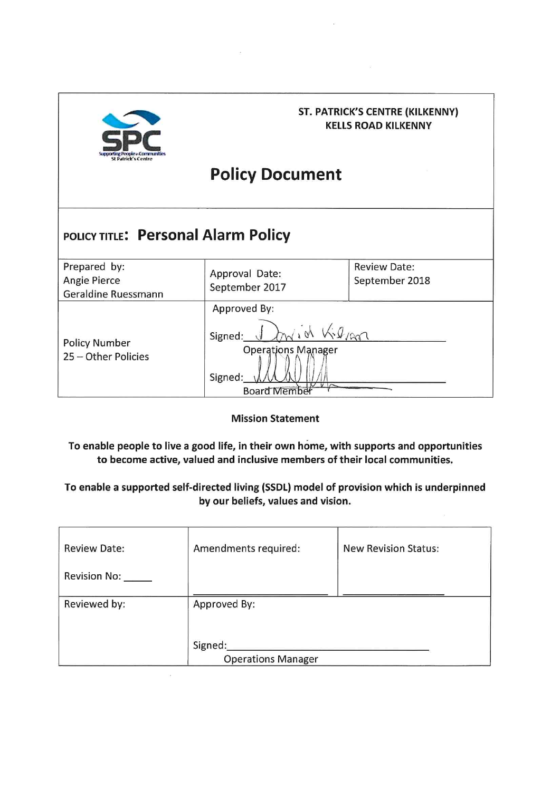

#### **ST. PATRICK'S CENTRE (KILKENNY) KELLS ROAD KILKENNY**

# **Policy Document**

## POLICY TITLE: Personal Alarm Policy

| Prepared by:<br>Angie Pierce<br>Geraldine Ruessmann | Approval Date:<br>September 2017                                                                            | <b>Review Date:</b><br>September 2018 |
|-----------------------------------------------------|-------------------------------------------------------------------------------------------------------------|---------------------------------------|
| <b>Policy Number</b><br>25 - Other Policies         | Approved By:<br>$\sqrt{6}$<br>Signed:<br><b>Operations Manager</b><br>Signed:<br>$V V \sim$<br>Board Member |                                       |

**Mission Statement** 

To enable people to live a good life, in their own home, with supports and opportunities to become active, valued and inclusive members of their local communities.

#### To enable a supported self-directed living (SSDL) model of provision which is underpinned by our beliefs, values and vision.

| <b>Review Date:</b> | Amendments required:      | <b>New Revision Status:</b> |  |  |  |  |
|---------------------|---------------------------|-----------------------------|--|--|--|--|
| <b>Revision No:</b> |                           |                             |  |  |  |  |
| Reviewed by:        | Approved By:              |                             |  |  |  |  |
|                     |                           |                             |  |  |  |  |
|                     | Signed:                   |                             |  |  |  |  |
|                     | <b>Operations Manager</b> |                             |  |  |  |  |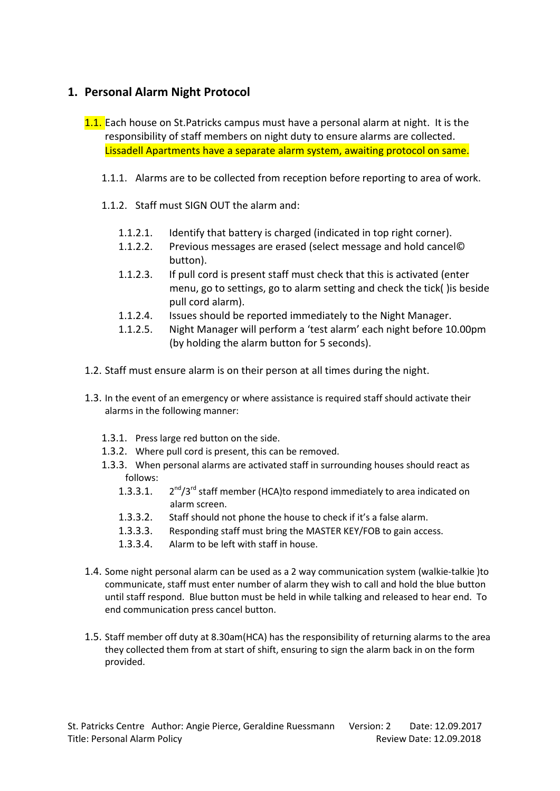### **1. Personal Alarm Night Protocol**

- 1.1. Each house on St.Patricks campus must have a personal alarm at night. It is the responsibility of staff members on night duty to ensure alarms are collected. Lissadell Apartments have a separate alarm system, awaiting protocol on same.
	- 1.1.1. Alarms are to be collected from reception before reporting to area of work.
	- 1.1.2. Staff must SIGN OUT the alarm and:
		- 1.1.2.1. Identify that battery is charged (indicated in top right corner).
		- 1.1.2.2. Previous messages are erased (select message and hold cancel© button).
		- 1.1.2.3. If pull cord is present staff must check that this is activated (enter menu, go to settings, go to alarm setting and check the tick( )is beside pull cord alarm).
		- 1.1.2.4. Issues should be reported immediately to the Night Manager.
		- 1.1.2.5. Night Manager will perform a 'test alarm' each night before 10.00pm (by holding the alarm button for 5 seconds).
- 1.2. Staff must ensure alarm is on their person at all times during the night.
- 1.3. In the event of an emergency or where assistance is required staff should activate their alarms in the following manner:
	- 1.3.1. Press large red button on the side.
	- 1.3.2. Where pull cord is present, this can be removed.
	- 1.3.3. When personal alarms are activated staff in surrounding houses should react as follows:
		- 1.3.3.1.  $2^{nd}/3^{rd}$  staff member (HCA)to respond immediately to area indicated on alarm screen.
		- 1.3.3.2. Staff should not phone the house to check if it's a false alarm.
		- 1.3.3.3. Responding staff must bring the MASTER KEY/FOB to gain access.
		- 1.3.3.4. Alarm to be left with staff in house.
- 1.4. Some night personal alarm can be used as a 2 way communication system (walkie-talkie )to communicate, staff must enter number of alarm they wish to call and hold the blue button until staff respond. Blue button must be held in while talking and released to hear end. To end communication press cancel button.
- 1.5. Staff member off duty at 8.30am(HCA) has the responsibility of returning alarms to the area they collected them from at start of shift, ensuring to sign the alarm back in on the form provided.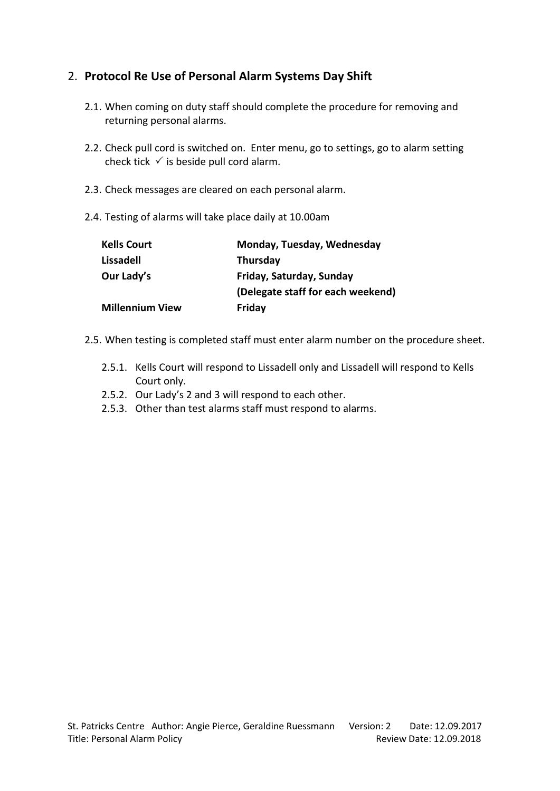### 2. **Protocol Re Use of Personal Alarm Systems Day Shift**

- 2.1. When coming on duty staff should complete the procedure for removing and returning personal alarms.
- 2.2. Check pull cord is switched on. Enter menu, go to settings, go to alarm setting check tick  $\checkmark$  is beside pull cord alarm.
- 2.3. Check messages are cleared on each personal alarm.
- 2.4. Testing of alarms will take place daily at 10.00am

| <b>Kells Court</b>     | Monday, Tuesday, Wednesday        |
|------------------------|-----------------------------------|
| Lissadell              | <b>Thursday</b>                   |
| Our Lady's             | Friday, Saturday, Sunday          |
|                        | (Delegate staff for each weekend) |
| <b>Millennium View</b> | Friday                            |

- 2.5. When testing is completed staff must enter alarm number on the procedure sheet.
	- 2.5.1. Kells Court will respond to Lissadell only and Lissadell will respond to Kells Court only.
	- 2.5.2. Our Lady's 2 and 3 will respond to each other.
	- 2.5.3. Other than test alarms staff must respond to alarms.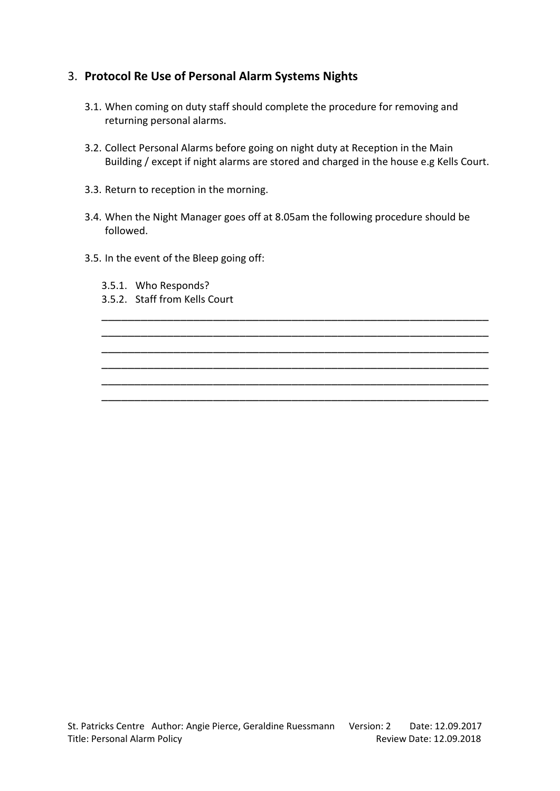### 3. **Protocol Re Use of Personal Alarm Systems Nights**

- 3.1. When coming on duty staff should complete the procedure for removing and returning personal alarms.
- 3.2. Collect Personal Alarms before going on night duty at Reception in the Main Building / except if night alarms are stored and charged in the house e.g Kells Court.
- 3.3. Return to reception in the morning.
- 3.4. When the Night Manager goes off at 8.05am the following procedure should be followed.

\_\_\_\_\_\_\_\_\_\_\_\_\_\_\_\_\_\_\_\_\_\_\_\_\_\_\_\_\_\_\_\_\_\_\_\_\_\_\_\_\_\_\_\_\_\_\_\_\_\_\_\_\_\_\_\_\_\_\_ \_\_\_\_\_\_\_\_\_\_\_\_\_\_\_\_\_\_\_\_\_\_\_\_\_\_\_\_\_\_\_\_\_\_\_\_\_\_\_\_\_\_\_\_\_\_\_\_\_\_\_\_\_\_\_\_\_\_\_ \_\_\_\_\_\_\_\_\_\_\_\_\_\_\_\_\_\_\_\_\_\_\_\_\_\_\_\_\_\_\_\_\_\_\_\_\_\_\_\_\_\_\_\_\_\_\_\_\_\_\_\_\_\_\_\_\_\_\_ \_\_\_\_\_\_\_\_\_\_\_\_\_\_\_\_\_\_\_\_\_\_\_\_\_\_\_\_\_\_\_\_\_\_\_\_\_\_\_\_\_\_\_\_\_\_\_\_\_\_\_\_\_\_\_\_\_\_\_ \_\_\_\_\_\_\_\_\_\_\_\_\_\_\_\_\_\_\_\_\_\_\_\_\_\_\_\_\_\_\_\_\_\_\_\_\_\_\_\_\_\_\_\_\_\_\_\_\_\_\_\_\_\_\_\_\_\_\_ \_\_\_\_\_\_\_\_\_\_\_\_\_\_\_\_\_\_\_\_\_\_\_\_\_\_\_\_\_\_\_\_\_\_\_\_\_\_\_\_\_\_\_\_\_\_\_\_\_\_\_\_\_\_\_\_\_\_\_

- 3.5. In the event of the Bleep going off:
	- 3.5.1. Who Responds?
	- 3.5.2. Staff from Kells Court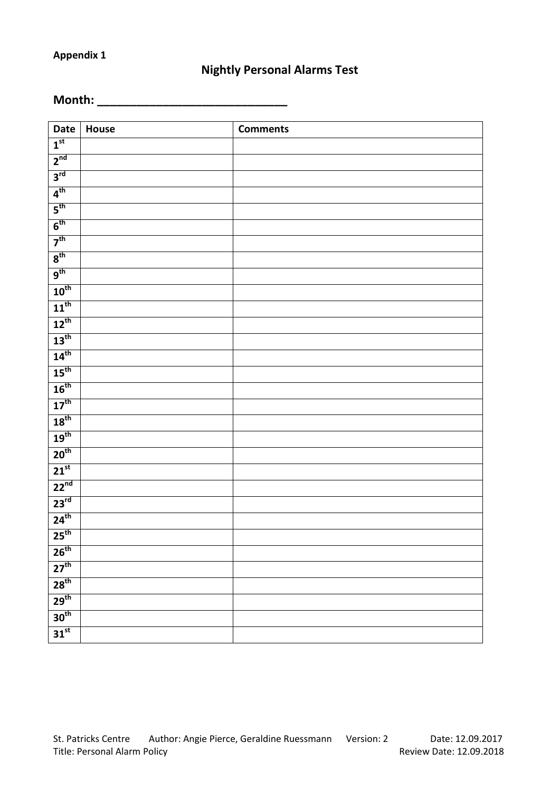### **Nightly Personal Alarms Test**

**Month: \_\_\_\_\_\_\_\_\_\_\_\_\_\_\_\_\_\_\_\_\_\_\_\_\_\_\_\_\_**

| Date                        | House | <b>Comments</b> |
|-----------------------------|-------|-----------------|
| 1 <sup>st</sup>             |       |                 |
| 2 <sup>nd</sup>             |       |                 |
| 3 <sup>rd</sup>             |       |                 |
| 4 <sup>th</sup>             |       |                 |
| 5 <sup>th</sup>             |       |                 |
| 6 <sup>th</sup>             |       |                 |
| 7 <sup>th</sup>             |       |                 |
| 8 <sup>th</sup>             |       |                 |
| 9 <sup>th</sup>             |       |                 |
| $10^{\text{th}}$            |       |                 |
| $11^{\text{th}}$            |       |                 |
| $12^{th}$                   |       |                 |
| $13^{th}$                   |       |                 |
| 14 <sup>th</sup>            |       |                 |
| 15 <sup>th</sup>            |       |                 |
| $16^{th}$                   |       |                 |
| $\overline{17}^{\text{th}}$ |       |                 |
| 18 <sup>th</sup>            |       |                 |
| 19 <sup>th</sup>            |       |                 |
| 20 <sup>th</sup>            |       |                 |
| $\overline{21}^{st}$        |       |                 |
| 22 <sup>nd</sup>            |       |                 |
| $23^{rd}$                   |       |                 |
| $24^{th}$                   |       |                 |
| 25 <sup>th</sup>            |       |                 |
| 26 <sup>th</sup>            |       |                 |
| $27^{th}$                   |       |                 |
| 28 <sup>th</sup>            |       |                 |
| 29 <sup>th</sup>            |       |                 |
| 30 <sup>th</sup>            |       |                 |
| $31^{st}$                   |       |                 |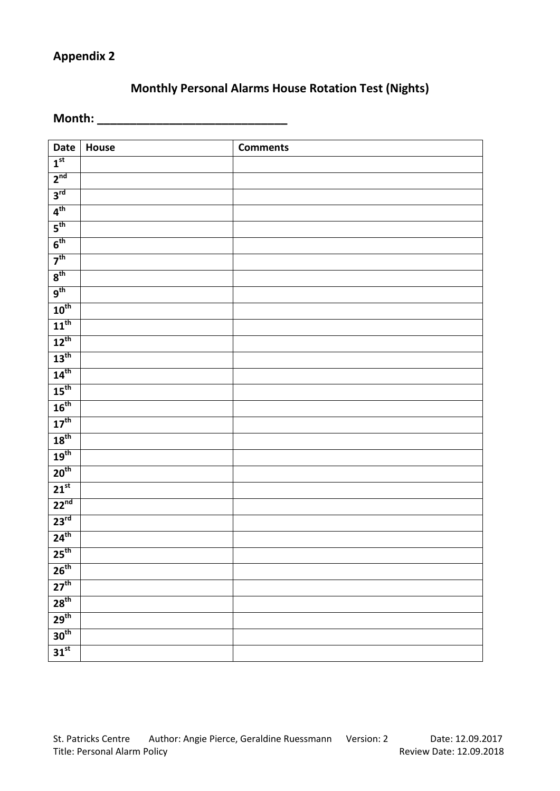### **Monthly Personal Alarms House Rotation Test (Nights)**

**Month: \_\_\_\_\_\_\_\_\_\_\_\_\_\_\_\_\_\_\_\_\_\_\_\_\_\_\_\_\_**

| Date                 | House | <b>Comments</b> |
|----------------------|-------|-----------------|
| 1 <sup>st</sup>      |       |                 |
| 2 <sup>nd</sup>      |       |                 |
| 3 <sup>rd</sup>      |       |                 |
| 4 <sup>th</sup>      |       |                 |
| 5 <sup>th</sup>      |       |                 |
| 6 <sup>th</sup>      |       |                 |
| $\overline{7^{th}}$  |       |                 |
| 8 <sup>th</sup>      |       |                 |
| 9 <sup>th</sup>      |       |                 |
| $10^{\text{th}}$     |       |                 |
| $11^{\text{th}}$     |       |                 |
| $12^{th}$            |       |                 |
| $13^{\text{th}}$     |       |                 |
| 14 <sup>th</sup>     |       |                 |
| 15 <sup>th</sup>     |       |                 |
| $16^{th}$            |       |                 |
| $17^{\text{th}}$     |       |                 |
| 18 <sup>th</sup>     |       |                 |
| $19^{th}$            |       |                 |
| 20 <sup>th</sup>     |       |                 |
| $\overline{21}^{st}$ |       |                 |
| 22 <sup>nd</sup>     |       |                 |
| 23 <sup>rd</sup>     |       |                 |
| 24 <sup>th</sup>     |       |                 |
| 25 <sup>th</sup>     |       |                 |
| 26 <sup>th</sup>     |       |                 |
| 27 <sup>th</sup>     |       |                 |
| 28 <sup>th</sup>     |       |                 |
| 29 <sup>th</sup>     |       |                 |
| 30 <sup>th</sup>     |       |                 |
| $\overline{31}^{st}$ |       |                 |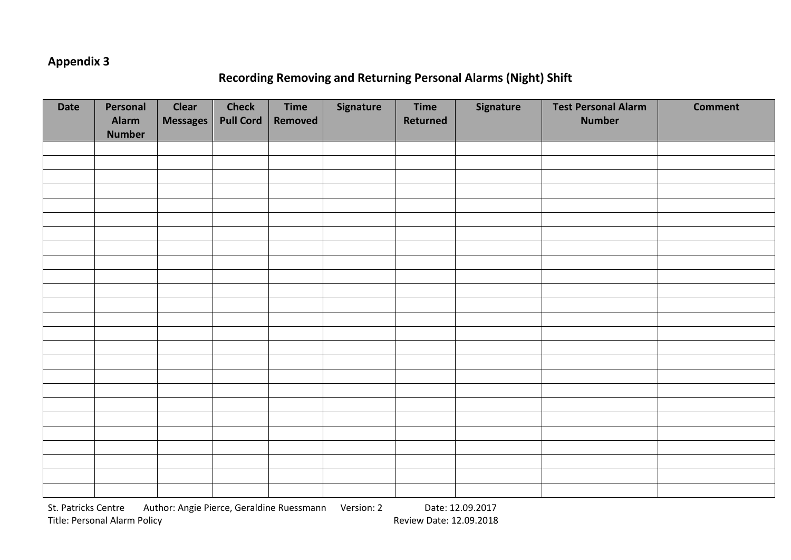### **Recording Removing and Returning Personal Alarms (Night) Shift**

| <b>Date</b> | Personal<br>Alarm<br><b>Number</b> | <b>Clear</b><br><b>Messages</b> | <b>Check</b><br><b>Pull Cord</b> | <b>Time</b><br>Removed | Signature | <b>Time</b><br>Returned | Signature | <b>Test Personal Alarm</b><br><b>Number</b> | <b>Comment</b> |
|-------------|------------------------------------|---------------------------------|----------------------------------|------------------------|-----------|-------------------------|-----------|---------------------------------------------|----------------|
|             |                                    |                                 |                                  |                        |           |                         |           |                                             |                |
|             |                                    |                                 |                                  |                        |           |                         |           |                                             |                |
|             |                                    |                                 |                                  |                        |           |                         |           |                                             |                |
|             |                                    |                                 |                                  |                        |           |                         |           |                                             |                |
|             |                                    |                                 |                                  |                        |           |                         |           |                                             |                |
|             |                                    |                                 |                                  |                        |           |                         |           |                                             |                |
|             |                                    |                                 |                                  |                        |           |                         |           |                                             |                |
|             |                                    |                                 |                                  |                        |           |                         |           |                                             |                |
|             |                                    |                                 |                                  |                        |           |                         |           |                                             |                |
|             |                                    |                                 |                                  |                        |           |                         |           |                                             |                |
|             |                                    |                                 |                                  |                        |           |                         |           |                                             |                |
|             |                                    |                                 |                                  |                        |           |                         |           |                                             |                |
|             |                                    |                                 |                                  |                        |           |                         |           |                                             |                |
|             |                                    |                                 |                                  |                        |           |                         |           |                                             |                |
|             |                                    |                                 |                                  |                        |           |                         |           |                                             |                |
|             |                                    |                                 |                                  |                        |           |                         |           |                                             |                |
|             |                                    |                                 |                                  |                        |           |                         |           |                                             |                |
|             |                                    |                                 |                                  |                        |           |                         |           |                                             |                |
|             |                                    |                                 |                                  |                        |           |                         |           |                                             |                |
|             |                                    |                                 |                                  |                        |           |                         |           |                                             |                |
|             |                                    |                                 |                                  |                        |           |                         |           |                                             |                |
|             |                                    |                                 |                                  |                        |           |                         |           |                                             |                |
|             |                                    |                                 |                                  |                        |           |                         |           |                                             |                |
|             |                                    |                                 |                                  |                        |           |                         |           |                                             |                |
|             |                                    |                                 |                                  |                        |           |                         |           |                                             |                |

St. Patricks Centre Author: Angie Pierce, Geraldine Ruessmann Version: 2 Date: 12.09.2017 Title: Personal Alarm Policy **Review Date: 12.09.2018** Review Date: 12.09.2018